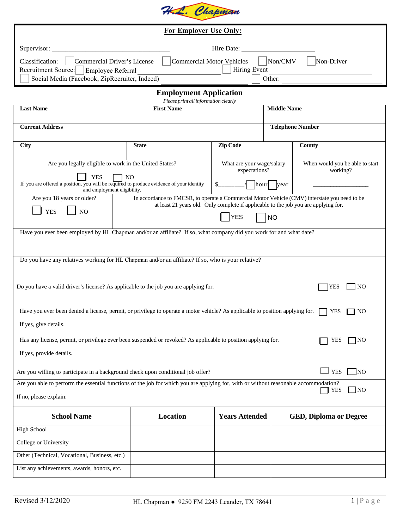

| For Employer Use Only:                                                                                                                                               |                                                                                                                                                                                      |                                                                       |                         |                                             |                               |
|----------------------------------------------------------------------------------------------------------------------------------------------------------------------|--------------------------------------------------------------------------------------------------------------------------------------------------------------------------------------|-----------------------------------------------------------------------|-------------------------|---------------------------------------------|-------------------------------|
| Supervisor:<br>Hire Date:                                                                                                                                            |                                                                                                                                                                                      |                                                                       |                         |                                             |                               |
| Non/CMV<br>Commercial Driver's License<br>Commercial Motor Vehicles<br>Non-Driver<br>Classification:<br><b>Hiring Event</b><br>Recruitment Source: Employee Referral |                                                                                                                                                                                      |                                                                       |                         |                                             |                               |
| Other:<br>Social Media (Facebook, ZipRecruiter, Indeed)                                                                                                              |                                                                                                                                                                                      |                                                                       |                         |                                             |                               |
|                                                                                                                                                                      |                                                                                                                                                                                      | <b>Employment Application</b><br>Please print all information clearly |                         |                                             |                               |
| <b>Last Name</b>                                                                                                                                                     |                                                                                                                                                                                      | <b>First Name</b>                                                     | <b>Middle Name</b>      |                                             |                               |
| <b>Current Address</b>                                                                                                                                               |                                                                                                                                                                                      |                                                                       | <b>Telephone Number</b> |                                             |                               |
| City                                                                                                                                                                 | <b>State</b>                                                                                                                                                                         |                                                                       | <b>Zip Code</b>         |                                             | County                        |
| Are you legally eligible to work in the United States?                                                                                                               |                                                                                                                                                                                      | What are your wage/salary<br>expectations?                            |                         | When would you be able to start<br>working? |                               |
| <b>YES</b><br>N <sub>O</sub><br>If you are offered a position, you will be required to produce evidence of your identity<br>and employment eligibility.              |                                                                                                                                                                                      |                                                                       | hour vear               |                                             |                               |
| Are you 18 years or older?                                                                                                                                           | In accordance to FMCSR, to operate a Commercial Motor Vehicle (CMV) interstate you need to be<br>at least 21 years old. Only complete if applicable to the job you are applying for. |                                                                       |                         |                                             |                               |
| <b>YES</b><br>NO                                                                                                                                                     | <b>YES</b><br><b>NO</b>                                                                                                                                                              |                                                                       |                         |                                             |                               |
| Have you ever been employed by HL Chapman and/or an affiliate? If so, what company did you work for and what date?                                                   |                                                                                                                                                                                      |                                                                       |                         |                                             |                               |
|                                                                                                                                                                      |                                                                                                                                                                                      |                                                                       |                         |                                             |                               |
| Do you have any relatives working for HL Chapman and/or an affiliate? If so, who is your relative?                                                                   |                                                                                                                                                                                      |                                                                       |                         |                                             |                               |
|                                                                                                                                                                      |                                                                                                                                                                                      |                                                                       |                         |                                             |                               |
| Do you have a valid driver's license? As applicable to the job you are applying for.                                                                                 |                                                                                                                                                                                      |                                                                       |                         |                                             | <b>YES</b><br>N <sub>O</sub>  |
|                                                                                                                                                                      |                                                                                                                                                                                      |                                                                       |                         |                                             |                               |
| Have you ever been denied a license, permit, or privilege to operate a motor vehicle? As applicable to position applying for.<br><b>YES</b><br>NO.                   |                                                                                                                                                                                      |                                                                       |                         |                                             |                               |
| If yes, give details.                                                                                                                                                |                                                                                                                                                                                      |                                                                       |                         |                                             |                               |
| Has any license, permit, or privilege ever been suspended or revoked? As applicable to position applying for.<br><b>YES</b><br>TNO                                   |                                                                                                                                                                                      |                                                                       |                         |                                             |                               |
| If yes, provide details.                                                                                                                                             |                                                                                                                                                                                      |                                                                       |                         |                                             |                               |
| <b>YES</b><br>]NO<br>Are you willing to participate in a background check upon conditional job offer?                                                                |                                                                                                                                                                                      |                                                                       |                         |                                             |                               |
| Are you able to perform the essential functions of the job for which you are applying for, with or without reasonable accommodation?<br>$\Box$ NO<br><b>YES</b>      |                                                                                                                                                                                      |                                                                       |                         |                                             |                               |
| If no, please explain:                                                                                                                                               |                                                                                                                                                                                      |                                                                       |                         |                                             |                               |
| <b>School Name</b>                                                                                                                                                   |                                                                                                                                                                                      | Location                                                              | <b>Years Attended</b>   |                                             | <b>GED, Diploma or Degree</b> |
| <b>High School</b>                                                                                                                                                   |                                                                                                                                                                                      |                                                                       |                         |                                             |                               |
| College or University                                                                                                                                                |                                                                                                                                                                                      |                                                                       |                         |                                             |                               |
| Other (Technical, Vocational, Business, etc.)                                                                                                                        |                                                                                                                                                                                      |                                                                       |                         |                                             |                               |
| List any achievements, awards, honors, etc.                                                                                                                          |                                                                                                                                                                                      |                                                                       |                         |                                             |                               |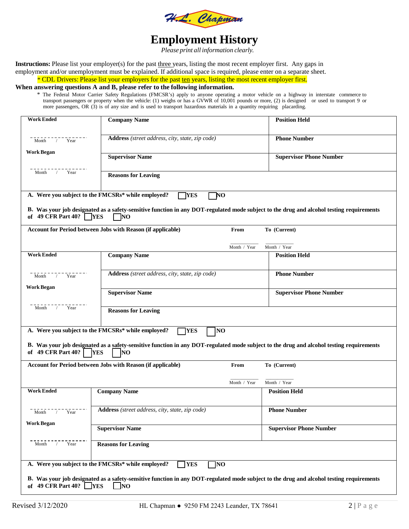

# **Employment History**

*Please print all information clearly.*

**Instructions:** Please list your employer(s) for the past three years, listing the most recent employer first. Any gaps in employment and/or unemployment must be explained. If additional space is required, please enter on a separate sheet.

\* CDL Drivers: Please list your employers for the past ten years, listing the most recent employer first.

#### **When answering questions A and B, please refer to the following information.**

\* The Federal Motor Carrier Safety Regulations (FMCSR's) apply to anyone operating a motor vehicle on a highway in interstate commerce to transport passengers or property when the vehicle: (1) weighs or has a GVWR of 10,001 pounds or more, (2) is designed or used to transport 9 or more passengers, OR (3) is of any size and is used to transport hazardous materials in a quantity requiring placarding.

| <b>Work Ended</b>                                                 | <b>Company Name</b>                                                                                                                                           |              | <b>Position Held</b>           |  |  |
|-------------------------------------------------------------------|---------------------------------------------------------------------------------------------------------------------------------------------------------------|--------------|--------------------------------|--|--|
| Month $7 - 1$ Year                                                | Address (street address, city, state, zip code)                                                                                                               |              | <b>Phone Number</b>            |  |  |
| Work Began                                                        | <b>Supervisor Name</b>                                                                                                                                        |              | <b>Supervisor Phone Number</b> |  |  |
| Month / Year                                                      | <b>Reasons for Leaving</b>                                                                                                                                    |              |                                |  |  |
|                                                                   | A. Were you subject to the FMCSRs* while employed?<br><b>TYES</b><br>7NO                                                                                      |              |                                |  |  |
| of 49 CFR Part 40? $\Box$ YES                                     | B. Was your job designated as a safety-sensitive function in any DOT-regulated mode subject to the drug and alcohol testing requirements<br>$\Box$ NO         |              |                                |  |  |
|                                                                   | Account for Period between Jobs with Reason (if applicable)                                                                                                   | From         | To (Current)                   |  |  |
|                                                                   |                                                                                                                                                               | Month / Year | Month / Year                   |  |  |
| <b>Work Ended</b>                                                 | <b>Company Name</b>                                                                                                                                           |              | <b>Position Held</b>           |  |  |
| Month $\overline{y}$ $\overline{y}$ $\overline{y}$ $\overline{y}$ | Address (street address, city, state, zip code)                                                                                                               |              | <b>Phone Number</b>            |  |  |
| <b>Work Began</b>                                                 | <b>Supervisor Name</b>                                                                                                                                        |              | <b>Supervisor Phone Number</b> |  |  |
| Month / Year                                                      | <b>Reasons for Leaving</b>                                                                                                                                    |              |                                |  |  |
|                                                                   | A. Were you subject to the FMCSRs* while employed?<br><b>TYES</b><br>NO <sub>1</sub>                                                                          |              |                                |  |  |
| of 49 CFR Part 40?                                                | B. Was your job designated as a safety-sensitive function in any DOT-regulated mode subject to the drug and alcohol testing requirements<br><b>YES</b><br> NO |              |                                |  |  |
|                                                                   |                                                                                                                                                               |              |                                |  |  |
|                                                                   | Account for Period between Jobs with Reason (if applicable)                                                                                                   | From         | To (Current)                   |  |  |
|                                                                   |                                                                                                                                                               | Month / Year | Month / Year                   |  |  |
| <b>Work Ended</b>                                                 | <b>Company Name</b>                                                                                                                                           |              | <b>Position Held</b>           |  |  |
| / Year<br>Month                                                   | Address (street address, city, state, zip code)                                                                                                               |              | <b>Phone Number</b>            |  |  |
| <b>Work Began</b>                                                 | <b>Supervisor Name</b>                                                                                                                                        |              | <b>Supervisor Phone Number</b> |  |  |
| Month / Year<br><b>Reasons for Leaving</b>                        |                                                                                                                                                               |              |                                |  |  |
|                                                                   | A. Were you subject to the FMCSRs* while employed?<br><b>YES</b><br>]NO                                                                                       |              |                                |  |  |
| of 49 CFR Part 40? $YES$                                          | B. Was your job designated as a safety-sensitive function in any DOT-regulated mode subject to the drug and alcohol testing requirements<br>$\overline{NQ}$   |              |                                |  |  |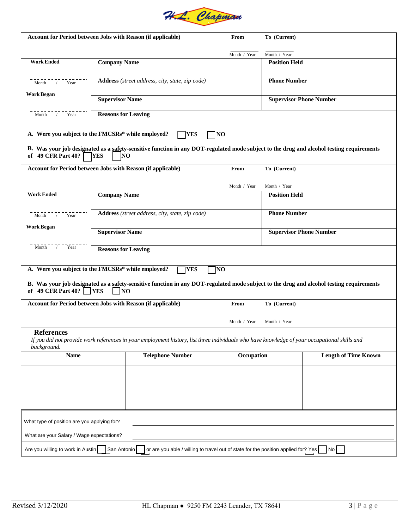

| Account for Period between Jobs with Reason (if applicable)                         |                                                 |                                                                                                                                              | From                                                                               | To (Current)                   |                                                                                                                                          |  |  |
|-------------------------------------------------------------------------------------|-------------------------------------------------|----------------------------------------------------------------------------------------------------------------------------------------------|------------------------------------------------------------------------------------|--------------------------------|------------------------------------------------------------------------------------------------------------------------------------------|--|--|
|                                                                                     |                                                 |                                                                                                                                              | Month / Year                                                                       | Month / Year                   |                                                                                                                                          |  |  |
| <b>Work Ended</b>                                                                   | <b>Company Name</b>                             |                                                                                                                                              |                                                                                    | <b>Position Held</b>           |                                                                                                                                          |  |  |
| Month / Year                                                                        |                                                 | Address (street address, city, state, zip code)                                                                                              |                                                                                    | <b>Phone Number</b>            |                                                                                                                                          |  |  |
| <b>Work Began</b>                                                                   | <b>Supervisor Name</b>                          |                                                                                                                                              |                                                                                    | <b>Supervisor Phone Number</b> |                                                                                                                                          |  |  |
| Month / Year                                                                        | <b>Reasons for Leaving</b>                      |                                                                                                                                              |                                                                                    |                                |                                                                                                                                          |  |  |
| A. Were you subject to the FMCSRs* while employed?                                  |                                                 | <b>YES</b>                                                                                                                                   | <b>NO</b>                                                                          |                                |                                                                                                                                          |  |  |
| of 49 CFR Part 40?                                                                  | <b>YES</b><br>NO                                |                                                                                                                                              |                                                                                    |                                | B. Was your job designated as a safety-sensitive function in any DOT-regulated mode subject to the drug and alcohol testing requirements |  |  |
| Account for Period between Jobs with Reason (if applicable)                         |                                                 |                                                                                                                                              | From                                                                               | To (Current)                   |                                                                                                                                          |  |  |
|                                                                                     |                                                 |                                                                                                                                              | Month / Year                                                                       | Month / Year                   |                                                                                                                                          |  |  |
| <b>Work Ended</b>                                                                   | <b>Company Name</b>                             |                                                                                                                                              |                                                                                    | <b>Position Held</b>           |                                                                                                                                          |  |  |
|                                                                                     |                                                 |                                                                                                                                              |                                                                                    |                                |                                                                                                                                          |  |  |
| Month / Year                                                                        | Address (street address, city, state, zip code) |                                                                                                                                              |                                                                                    | <b>Phone Number</b>            |                                                                                                                                          |  |  |
| <b>Work Began</b>                                                                   |                                                 |                                                                                                                                              |                                                                                    |                                |                                                                                                                                          |  |  |
|                                                                                     |                                                 | <b>Supervisor Name</b>                                                                                                                       |                                                                                    |                                | <b>Supervisor Phone Number</b>                                                                                                           |  |  |
| Month / Year                                                                        | <b>Reasons for Leaving</b>                      |                                                                                                                                              |                                                                                    |                                |                                                                                                                                          |  |  |
| A. Were you subject to the FMCSRs* while employed?                                  |                                                 | <b>TYES</b>                                                                                                                                  | ]NO                                                                                |                                |                                                                                                                                          |  |  |
| of 49 CFR Part 40? $\Box$ YES                                                       | <b>NO</b>                                       |                                                                                                                                              |                                                                                    |                                | B. Was your job designated as a safety-sensitive function in any DOT-regulated mode subject to the drug and alcohol testing requirements |  |  |
| Account for Period between Jobs with Reason (if applicable)<br>To (Current)<br>From |                                                 |                                                                                                                                              |                                                                                    |                                |                                                                                                                                          |  |  |
| Month / Year<br>Month / Year                                                        |                                                 |                                                                                                                                              |                                                                                    |                                |                                                                                                                                          |  |  |
| <b>References</b><br>background.                                                    |                                                 | If you did not provide work references in your employment history, list three individuals who have knowledge of your occupational skills and |                                                                                    |                                |                                                                                                                                          |  |  |
| <b>Telephone Number</b><br><b>Name</b>                                              |                                                 | Occupation                                                                                                                                   |                                                                                    | <b>Length of Time Known</b>    |                                                                                                                                          |  |  |
|                                                                                     |                                                 |                                                                                                                                              |                                                                                    |                                |                                                                                                                                          |  |  |
|                                                                                     |                                                 |                                                                                                                                              |                                                                                    |                                |                                                                                                                                          |  |  |
|                                                                                     |                                                 |                                                                                                                                              |                                                                                    |                                |                                                                                                                                          |  |  |
|                                                                                     |                                                 |                                                                                                                                              |                                                                                    |                                |                                                                                                                                          |  |  |
| What type of position are you applying for?                                         |                                                 |                                                                                                                                              |                                                                                    |                                |                                                                                                                                          |  |  |
| What are your Salary / Wage expectations?                                           |                                                 |                                                                                                                                              |                                                                                    |                                |                                                                                                                                          |  |  |
| Are you willing to work in Austin                                                   | San Antonio                                     |                                                                                                                                              | or are you able / willing to travel out of state for the position applied for? Yes |                                | No I                                                                                                                                     |  |  |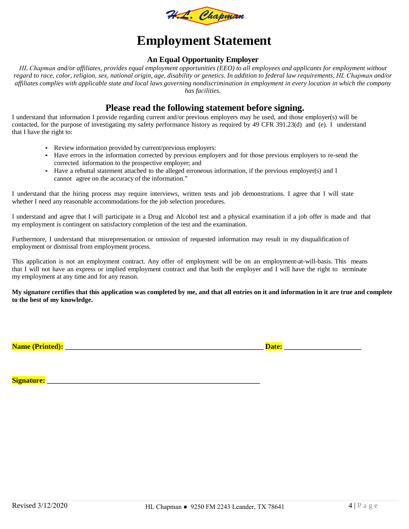

## **Employment Statement**

#### **An Equal Opportunity Employer**

*HL Chapman and/or affiliates, provides equal employment opportunities (EEO) to all employees and applicants for employment without regard to race, color, religion, sex, national origin, age, disability or genetics. In addition to federal law requirements, HL Chapman and/or affiliates complies with applicable state and local laws governing nondiscrimination in employment in every location in which the company has facilities.* 

### **Please read the following statement before signing.**

I understand that information I provide regarding current and/or previous employers may be used, and those employer(s) will be contacted, for the purpose of investigating my safety performance history as required by 49 CFR 391.23(d) and (e). I understand that I have the right to:

- Review information provided by current/previous employers:
- Have errors in the information corrected by previous employers and for those previous employers to re-send the corrected information to the prospective employer; and
- Have a rebuttal statement attached to the alleged erroneous information, if the previous employer(s) and I cannot agree on the accuracy of the information."

I understand that the hiring process may require interviews, written tests and job demonstrations. I agree that I will state whether I need any reasonable accommodations for the job selection procedures.

I understand and agree that I will participate in a Drug and Alcohol test and a physical examination if a job offer is made and that my employment is contingent on satisfactory completion of the test and the examination.

Furthermore, I understand that misrepresentation or omission of requested information may result in my disqualification of employment or dismissal from employment process.

This application is not an employment contract. Any offer of employment will be on an employment-at-will-basis. This means that I will not have an express or implied employment contract and that both the employer and I will have the right to terminate my employment at any time and for any reason.

**My signature certifies that this application was completed by me, and that all entries on it and information in it are true and complete to the best of my knowledge.**

**Name (Printed): \_\_\_\_\_\_\_\_\_\_\_\_\_\_\_\_\_\_\_\_\_\_\_\_\_\_\_\_\_\_\_\_\_\_\_\_\_\_\_\_\_\_\_\_\_\_\_\_\_\_\_\_\_\_ Date: \_\_\_\_\_\_\_\_\_\_\_\_\_\_\_\_\_\_\_\_\_** 

**Signature:**  $\blacksquare$